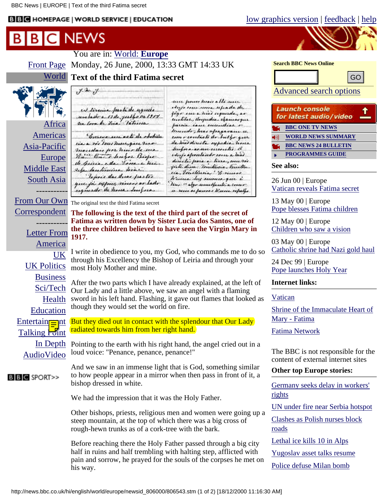## <span id="page-0-0"></span>**BBC** HOMEPAGE | WORLD SERVICE | EDUCATION

[low graphics version](http://news.bbc.co.uk/low/english/world/europe/newsid_806000/806543.stm) | [feedback](http://news.bbc.co.uk/hi/english/static/feedback/default.stm) | [help](http://news.bbc.co.uk/hi/english/static/help/default.stm)

## **BBC** NEWS

|                                                                                                          | You are in: World: Europe                                                                                                                                                                                                                                                                                                                                                                                                                                                                                                                                                                                                                                                                                                                                           |                                                                                                                                                                                                                                                                                                                                              |                                                                                                                                                                |
|----------------------------------------------------------------------------------------------------------|---------------------------------------------------------------------------------------------------------------------------------------------------------------------------------------------------------------------------------------------------------------------------------------------------------------------------------------------------------------------------------------------------------------------------------------------------------------------------------------------------------------------------------------------------------------------------------------------------------------------------------------------------------------------------------------------------------------------------------------------------------------------|----------------------------------------------------------------------------------------------------------------------------------------------------------------------------------------------------------------------------------------------------------------------------------------------------------------------------------------------|----------------------------------------------------------------------------------------------------------------------------------------------------------------|
| Monday, 26 June, 2000, 13:33 GMT 14:33 UK<br><b>Front Page</b>                                           |                                                                                                                                                                                                                                                                                                                                                                                                                                                                                                                                                                                                                                                                                                                                                                     |                                                                                                                                                                                                                                                                                                                                              | <b>Search BBC News Online</b>                                                                                                                                  |
| World<br><b>Text of the third Fatima secret</b>                                                          |                                                                                                                                                                                                                                                                                                                                                                                                                                                                                                                                                                                                                                                                                                                                                                     |                                                                                                                                                                                                                                                                                                                                              | GO                                                                                                                                                             |
| Africa                                                                                                   | $y = -y$<br>ed tirecies parte de aguas<br>ambaile a 13de juilfe es 1977.<br>Na terribe, Isia, Valiina.                                                                                                                                                                                                                                                                                                                                                                                                                                                                                                                                                                                                                                                              | tires power heart allo seem<br>adagja xxxxx.corxx safandn eks<br>fige in a hier ciquide, as<br>excepted, despedia sycamorgue<br>forsain same encountered or                                                                                                                                                                                  | <b>Advanced search options</b><br>Launch console<br>for latest audio/video<br><b>BBC ONE TV NEWS</b>                                                           |
| Americas<br>Asia-Pacific<br>Europe<br><b>Middle East</b><br>South Asia                                   | Lucius un acti de obedia<br>tie a richer med give the<br>mountain por more the me<br>The Board burger Bispe<br>de quina eda Jona e min<br>Jefa bankinina kiar<br>Depose das devas partes<br>que ja especi, escura ar lado.<br>exquisito de heces Jenfora.                                                                                                                                                                                                                                                                                                                                                                                                                                                                                                           | mundo, bear afragavamente<br>com o contacto do bulgo que<br>da moi dereita supedia home<br>desofora as seus recorrection the<br>edrojo aposetando como a mão<br>discrito pasa a time, mu vi<br>finter diane: Tombinie - Smithe-<br>cia, Inchinia Morison<br>Human dus sennes que é<br>Hur " algo umalfantia como<br>a mu especes d'un cepito | <b>WORLD NEWS SUMMARY</b><br>m<br><b>BBC NEWS 24 BULLETIN</b><br><b>PROGRAMMES GUIDE</b><br>See also:<br>$26$ Jun 00   Europe<br>Vatican reveals Fatima secret |
| From Our Own<br>Correspondent<br><b>Letter From</b>                                                      | The original text the third Fatima secret<br>The following is the text of the third part of the secret of<br>Fatima as written down by Sister Lucia dos Santos, one of<br>the three children believed to have seen the Virgin Mary in                                                                                                                                                                                                                                                                                                                                                                                                                                                                                                                               | I write in obedience to you, my God, who commands me to do so                                                                                                                                                                                                                                                                                | 13 May 00   Europe<br>Pope blesses Fatima children<br>12 May 00   Europe<br>Children who saw a vision                                                          |
| America<br>UK<br><b>UK Politics</b>                                                                      | 1917.<br>through his Excellency the Bishop of Leiria and through your<br>most Holy Mother and mine.                                                                                                                                                                                                                                                                                                                                                                                                                                                                                                                                                                                                                                                                 |                                                                                                                                                                                                                                                                                                                                              | 03 May 00   Europe<br>Catholic shrine had Nazi gold haul<br>24 Dec $99 \mid$ Europe<br>Pope launches Holy Year                                                 |
| <b>Business</b><br>Sci/Tech                                                                              | After the two parts which I have already explained, at the left of<br>Our Lady and a little above, we saw an angel with a flaming<br>sword in his left hand. Flashing, it gave out flames that looked as<br>though they would set the world on fire.                                                                                                                                                                                                                                                                                                                                                                                                                                                                                                                |                                                                                                                                                                                                                                                                                                                                              | <b>Internet links:</b>                                                                                                                                         |
| Health<br>Education                                                                                      |                                                                                                                                                                                                                                                                                                                                                                                                                                                                                                                                                                                                                                                                                                                                                                     |                                                                                                                                                                                                                                                                                                                                              | Vatican<br>Shrine of the Immaculate Heart of<br>Mary - Fatima                                                                                                  |
| $Entertain$ <sub>=</sub> nt<br>Talking Hint                                                              | But they died out in contact with the splendour that Our Lady<br>radiated towards him from her right hand.                                                                                                                                                                                                                                                                                                                                                                                                                                                                                                                                                                                                                                                          |                                                                                                                                                                                                                                                                                                                                              | <b>Fatima Network</b>                                                                                                                                          |
| AudioVideo                                                                                               | In Depth Pointing to the earth with his right hand, the angel cried out in a<br>loud voice: "Penance, penance, penance!"<br>And we saw in an immense light that is God, something similar<br>to how people appear in a mirror when then pass in front of it, a<br>bishop dressed in white.<br>We had the impression that it was the Holy Father.<br>Other bishops, priests, religious men and women were going up a<br>steep mountain, at the top of which there was a big cross of<br>rough-hewn trunks as of a cork-tree with the bark.<br>Before reaching there the Holy Father passed through a big city<br>half in ruins and half trembling with halting step, afflicted with<br>pain and sorrow, he prayed for the souls of the corpses he met on<br>his way. |                                                                                                                                                                                                                                                                                                                                              | The BBC is not responsible for the<br>content of external internet sites                                                                                       |
| <b>BBC</b> SPORT>>                                                                                       |                                                                                                                                                                                                                                                                                                                                                                                                                                                                                                                                                                                                                                                                                                                                                                     |                                                                                                                                                                                                                                                                                                                                              | <b>Other top Europe stories:</b>                                                                                                                               |
|                                                                                                          |                                                                                                                                                                                                                                                                                                                                                                                                                                                                                                                                                                                                                                                                                                                                                                     |                                                                                                                                                                                                                                                                                                                                              | Germany seeks delay in workers'<br>rights                                                                                                                      |
|                                                                                                          |                                                                                                                                                                                                                                                                                                                                                                                                                                                                                                                                                                                                                                                                                                                                                                     |                                                                                                                                                                                                                                                                                                                                              | UN under fire near Serbia hotspot<br>Clashes as Polish nurses block<br>roads                                                                                   |
|                                                                                                          |                                                                                                                                                                                                                                                                                                                                                                                                                                                                                                                                                                                                                                                                                                                                                                     |                                                                                                                                                                                                                                                                                                                                              | Lethal ice kills 10 in Alps<br>Yugoslav asset talks resume<br>Police defuse Milan bomb                                                                         |
| http://news.bbc.co.uk/hi/english/world/europe/newsid_806000/806543.stm (1 of 2) [18/12/2000 11:16:30 AM] |                                                                                                                                                                                                                                                                                                                                                                                                                                                                                                                                                                                                                                                                                                                                                                     |                                                                                                                                                                                                                                                                                                                                              |                                                                                                                                                                |